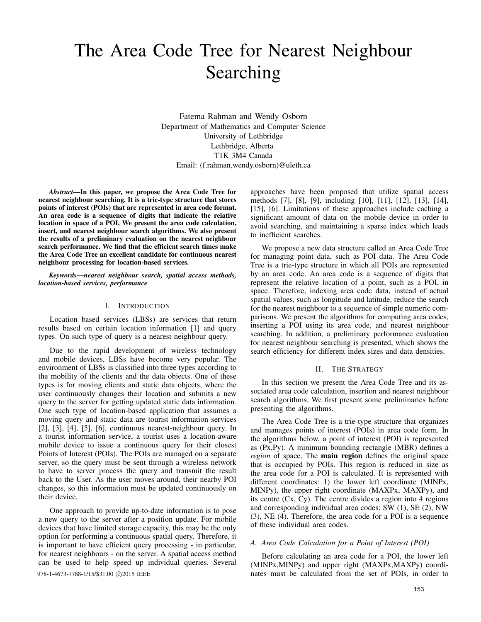# The Area Code Tree for Nearest Neighbour Searching

Fatema Rahman and Wendy Osborn Department of Mathematics and Computer Science University of Lethbridge Lethbridge, Alberta T1K 3M4 Canada Email: (f.rahman,wendy.osborn)@uleth.ca

*Abstract*—In this paper, we propose the Area Code Tree for nearest neighbour searching. It is a trie-type structure that stores points of interest (POIs) that are represented in area code format. An area code is a sequence of digits that indicate the relative location in space of a POI. We present the area code calculation, insert, and nearest neighbour search algorithms. We also present the results of a preliminary evaluation on the nearest neighbour search performance. We find that the efficient search times make the Area Code Tree an excellent candidate for continuous nearest neighbour processing for location-based services.

*Keywords*—*nearest neighbour search, spatial access methods, location-based services, performance*

## I. INTRODUCTION

Location based services (LBSs) are services that return results based on certain location information [1] and query types. On such type of query is a nearest neighbour query.

Due to the rapid development of wireless technology and mobile devices, LBSs have become very popular. The environment of LBSs is classified into three types according to the mobility of the clients and the data objects. One of these types is for moving clients and static data objects, where the user continuously changes their location and submits a new query to the server for getting updated static data information. One such type of location-based application that assumes a moving query and static data are tourist information services [2], [3], [4], [5], [6]. continuous nearest-neighbour query. In a tourist information service, a tourist uses a location-aware mobile device to issue a continuous query for their closest Points of Interest (POIs). The POIs are managed on a separate server, so the query must be sent through a wireless network to have to server process the query and transmit the result back to the User. As the user moves around, their nearby POI changes, so this information must be updated continuously on their device.

One approach to provide up-to-date information is to pose a new query to the server after a position update. For mobile devices that have limited storage capacity, this may be the only option for performing a continuous spatial query. Therefore, it is important to have efficient query processing - in particular, for nearest neighbours - on the server. A spatial access method can be used to help speed up individual queries. Several approaches have been proposed that utilize spatial access methods [7], [8], [9], including [10], [11], [12], [13], [14], [15], [6]. Limitations of these approaches include caching a significant amount of data on the mobile device in order to avoid searching, and maintaining a sparse index which leads to inefficient searches.

We propose a new data structure called an Area Code Tree for managing point data, such as POI data. The Area Code Tree is a trie-type structure in which all POIs are represented by an area code. An area code is a sequence of digits that represent the relative location of a point, such as a POI, in space. Therefore, indexing area code data, instead of actual spatial values, such as longitude and latitude, reduce the search for the nearest neighbour to a sequence of simple numeric comparisons. We present the algorithms for computing area codes, inserting a POI using its area code, and nearest neighbour searching. In addition, a preliminary performance evaluation for nearest neighbour searching is presented, which shows the search efficiency for different index sizes and data densities.

#### II. THE STRATEGY

In this section we present the Area Code Tree and its associated area code calculation, insertion and nearest neighbour search algorithms. We first present some preliminaries before presenting the algorithms.

The Area Code Tree is a trie-type structure that organizes and manages points of interest (POIs) in area code form. In the algorithms below, a point of interest (POI) is represented as (Px,Py). A minimum bounding rectangle (MBR) defines a *region* of space. The **main region** defines the original space that is occupied by POIs. This region is reduced in size as the area code for a POI is calculated. It is represented with different coordinates: 1) the lower left coordinate (MINPx, MINPy), the upper right coordinate (MAXPx, MAXPy), and its centre  $(Cx, Cy)$ . The centre divides a region into 4 regions and corresponding individual area codes: SW (1), SE (2), NW (3), NE (4). Therefore, the area code for a POI is a sequence of these individual area codes.

#### *A. Area Code Calculation for a Point of Interest (POI)*

Before calculating an area code for a POI, the lower left (MINPx,MINPy) and upper right (MAXPx,MAXPy) coordi-978-1-4673-7788-1/15/\$31.00  $\odot$ 2015 IEEE nates must be calculated from the set of POIs, in order to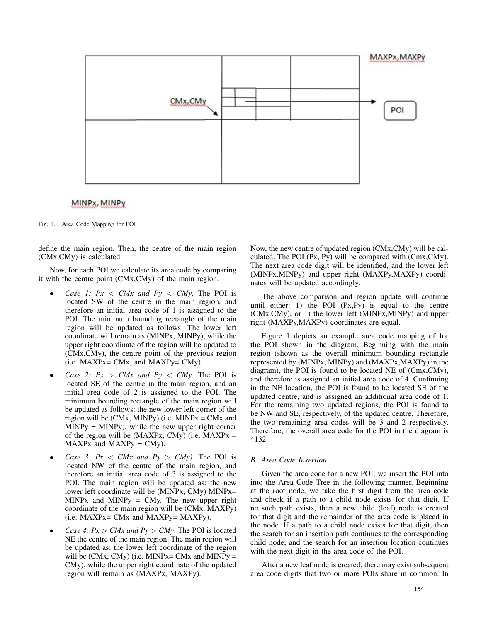

MINPx, MINPy

Fig. 1. Area Code Mapping for POI

define the main region. Then, the centre of the main region (CMx,CMy) is calculated.

Now, for each POI we calculate its area code by comparing it with the centre point (CMx,CMy) of the main region.

- *Case 1: Px < CMx and Py < CMy.* The POI is located SW of the centre in the main region, and therefore an initial area code of 1 is assigned to the POI. The minimum bounding rectangle of the main region will be updated as follows: The lower left coordinate will remain as (MINPx, MINPy), while the upper right coordinate of the region will be updated to (CMx,CMy), the centre point of the previous region (i.e. MAXPx= CMx, and MAXPy= CMy).
- *Case 2: Px > CMx and Py < CMy.* The POI is located SE of the centre in the main region, and an initial area code of 2 is assigned to the POI. The minimum bounding rectangle of the main region will be updated as follows: the new lower left corner of the region will be  $(CMx, MINPy)$  (i.e. MINPx =  $CMx$  and  $MINPy = MINPy$ , while the new upper right corner of the region will be (MAXPx, CMy) (i.e. MAXPx =  $MAXPx$  and  $MAXPy = CMy$ .
- *Case 3: Px < CMx and Py > CMy)*. The POI is located NW of the centre of the main region, and therefore an initial area code of 3 is assigned to the POI. The main region will be updated as: the new lower left coordinate will be (MINPx, CMy) MINPx=  $MINPx$  and  $MINPy = CMy$ . The new upper right coordinate of the main region will be (CMx, MAXPy) (i.e. MAXPx= CMx and MAXPy= MAXPy).
- *Case 4: Px > CMx and Py > CMy.* The POI is located NE the centre of the main region. The main region will be updated as: the lower left coordinate of the region will be  $(CMx, CMy)$  (i.e. MINPx=  $CMx$  and MINPy = CMy), while the upper right coordinate of the updated region will remain as (MAXPx, MAXPy).

Now, the new centre of updated region (CMx,CMy) will be calculated. The POI (Px, Py) will be compared with (Cmx,CMy). The next area code digit will be identified, and the lower left (MINPx,MINPy) and upper right (MAXPy,MAXPy) coordinates will be updated accordingly.

The above comparison and region update will continue until either: 1) the POI  $(Px, Py)$  is equal to the centre (CMx,CMy), or 1) the lower left (MINPx,MINPy) and upper right (MAXPy,MAXPy) coordinates are equal.

Figure 1 depicts an example area code mapping of for the POI shown in the diagram. Beginning with the main region (shown as the overall minimum bounding rectangle represented by (MINPx, MINPy) and (MAXPx,MAXPy) in the diagram), the POI is found to be located NE of (Cmx,CMy), and therefore is assigned an initial area code of 4. Continuing in the NE location, the POI is found to be located SE of the updated centre, and is assigned an additional area code of 1. For the remaining two updated regions, the POI is found to be NW and SE, respectively, of the updated centre. Therefore, the two remaining area codes will be 3 and 2 respectively. Therefore, the overall area code for the POI in the diagram is 4132.

## *B. Area Code Insertion*

Given the area code for a new POI, we insert the POI into into the Area Code Tree in the following manner. Beginning at the root node, we take the first digit from the area code and check if a path to a child node exists for that digit. If no such path exists, then a new child (leaf) node is created for that digit and the remainder of the area code is placed in the node. If a path to a child node exists for that digit, then the search for an insertion path continues to the corresponding child node, and the search for an insertion location continues with the next digit in the area code of the POI.

After a new leaf node is created, there may exist subsequent area code digits that two or more POIs share in common. In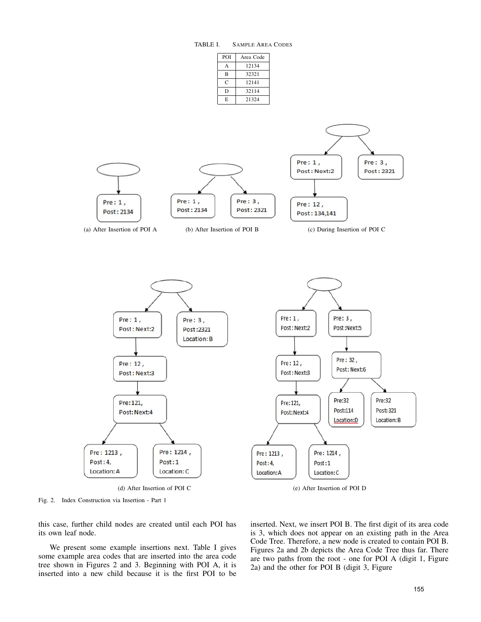

| POI | Area Code |
|-----|-----------|
|     | 12134     |
| B   | 32321     |
| C   | 12141     |
| D   | 32114     |
| E   | 21324     |



Fig. 2. Index Construction via Insertion - Part 1

this case, further child nodes are created until each POI has its own leaf node.

We present some example insertions next. Table I gives some example area codes that are inserted into the area code tree shown in Figures 2 and 3. Beginning with POI A, it is inserted into a new child because it is the first POI to be inserted. Next, we insert POI B. The first digit of its area code is 3, which does not appear on an existing path in the Area Code Tree. Therefore, a new node is created to contain POI B. Figures 2a and 2b depicts the Area Code Tree thus far. There are two paths from the root - one for POI A (digit 1, Figure 2a) and the other for POI B (digit 3, Figure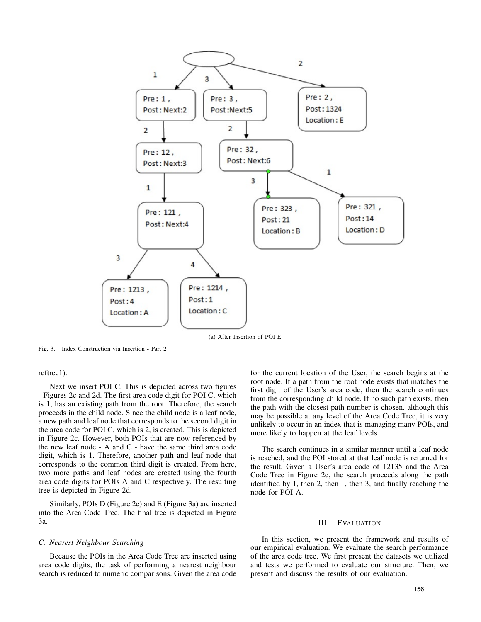

Fig. 3. Index Construction via Insertion - Part 2

reftree1).

Next we insert POI C. This is depicted across two figures - Figures 2c and 2d. The first area code digit for POI C, which is 1, has an existing path from the root. Therefore, the search proceeds in the child node. Since the child node is a leaf node, a new path and leaf node that corresponds to the second digit in the area code for POI C, which is 2, is created. This is depicted in Figure 2c. However, both POIs that are now referenced by the new leaf node - A and C - have the same third area code digit, which is 1. Therefore, another path and leaf node that corresponds to the common third digit is created. From here, two more paths and leaf nodes are created using the fourth area code digits for POIs A and C respectively. The resulting tree is depicted in Figure 2d.

Similarly, POIs D (Figure 2e) and E (Figure 3a) are inserted into the Area Code Tree. The final tree is depicted in Figure 3a.

#### *C. Nearest Neighbour Searching*

Because the POIs in the Area Code Tree are inserted using area code digits, the task of performing a nearest neighbour search is reduced to numeric comparisons. Given the area code for the current location of the User, the search begins at the root node. If a path from the root node exists that matches the first digit of the User's area code, then the search continues from the corresponding child node. If no such path exists, then the path with the closest path number is chosen. although this may be possible at any level of the Area Code Tree, it is very unlikely to occur in an index that is managing many POIs, and more likely to happen at the leaf levels.

The search continues in a similar manner until a leaf node is reached, and the POI stored at that leaf node is returned for the result. Given a User's area code of 12135 and the Area Code Tree in Figure 2e, the search proceeds along the path identified by 1, then 2, then 1, then 3, and finally reaching the node for POI A.

## III. EVALUATION

In this section, we present the framework and results of our empirical evaluation. We evaluate the search performance of the area code tree. We first present the datasets we utilized and tests we performed to evaluate our structure. Then, we present and discuss the results of our evaluation.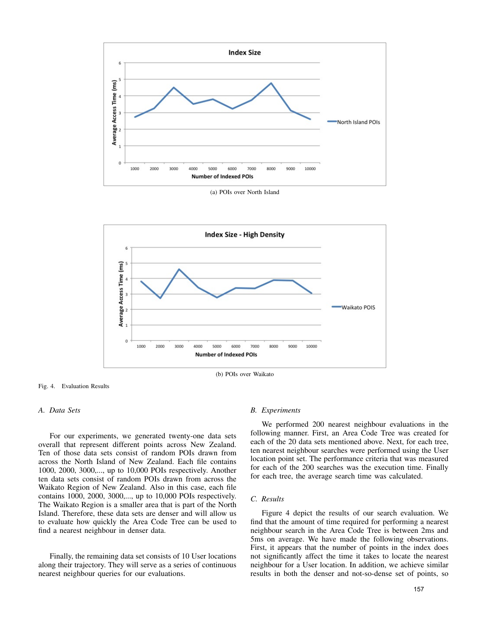

(a) POIs over North Island



(b) POIs over Waikato

Fig. 4. Evaluation Results

### *A. Data Sets*

For our experiments, we generated twenty-one data sets overall that represent different points across New Zealand. Ten of those data sets consist of random POIs drawn from across the North Island of New Zealand. Each file contains 1000, 2000, 3000,..., up to 10,000 POIs respectively. Another ten data sets consist of random POIs drawn from across the Waikato Region of New Zealand. Also in this case, each file contains 1000, 2000, 3000,..., up to 10,000 POIs respectively. The Waikato Region is a smaller area that is part of the North Island. Therefore, these data sets are denser and will allow us to evaluate how quickly the Area Code Tree can be used to find a nearest neighbour in denser data.

Finally, the remaining data set consists of 10 User locations along their trajectory. They will serve as a series of continuous nearest neighbour queries for our evaluations.

#### *B. Experiments*

We performed 200 nearest neighbour evaluations in the following manner. First, an Area Code Tree was created for each of the 20 data sets mentioned above. Next, for each tree, ten nearest neighbour searches were performed using the User location point set. The performance criteria that was measured for each of the 200 searches was the execution time. Finally for each tree, the average search time was calculated.

### *C. Results*

Figure 4 depict the results of our search evaluation. We find that the amount of time required for performing a nearest neighbour search in the Area Code Tree is between 2ms and 5ms on average. We have made the following observations. First, it appears that the number of points in the index does not significantly affect the time it takes to locate the nearest neighbour for a User location. In addition, we achieve similar results in both the denser and not-so-dense set of points, so